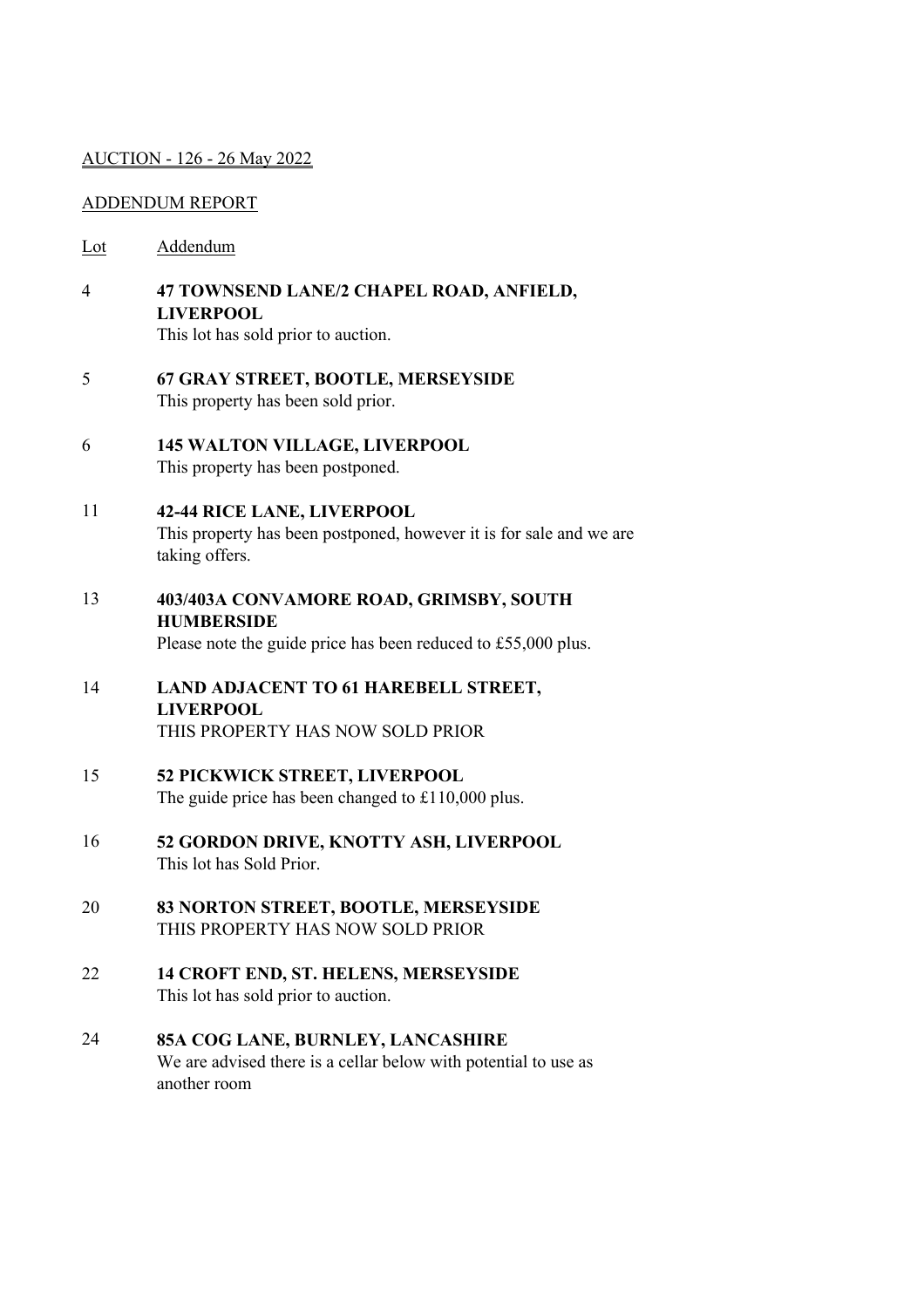## AUCTION - 126 - 26 May 2022

## ADDENDUM REPORT

- Lot Addendum
- 4 **47 TOWNSEND LANE/2 CHAPEL ROAD, ANFIELD, LIVERPOOL**

This lot has sold prior to auction.

- 5 **67 GRAY STREET, BOOTLE, MERSEYSIDE** This property has been sold prior.
- 6 **145 WALTON VILLAGE, LIVERPOOL** This property has been postponed.
- 11 **42-44 RICE LANE, LIVERPOOL** This property has been postponed, however it is for sale and we are taking offers.
- 13 **403/403A CONVAMORE ROAD, GRIMSBY, SOUTH HUMBERSIDE** Please note the guide price has been reduced to £55,000 plus.
- 14 **LAND ADJACENT TO 61 HAREBELL STREET, LIVERPOOL** THIS PROPERTY HAS NOW SOLD PRIOR
- 15 **52 PICKWICK STREET, LIVERPOOL** The guide price has been changed to £110,000 plus.
- 16 **52 GORDON DRIVE, KNOTTY ASH, LIVERPOOL** This lot has Sold Prior.
- 20 **83 NORTON STREET, BOOTLE, MERSEYSIDE** THIS PROPERTY HAS NOW SOLD PRIOR
- 22 **14 CROFT END, ST. HELENS, MERSEYSIDE** This lot has sold prior to auction.
- 24 **85A COG LANE, BURNLEY, LANCASHIRE** We are advised there is a cellar below with potential to use as another room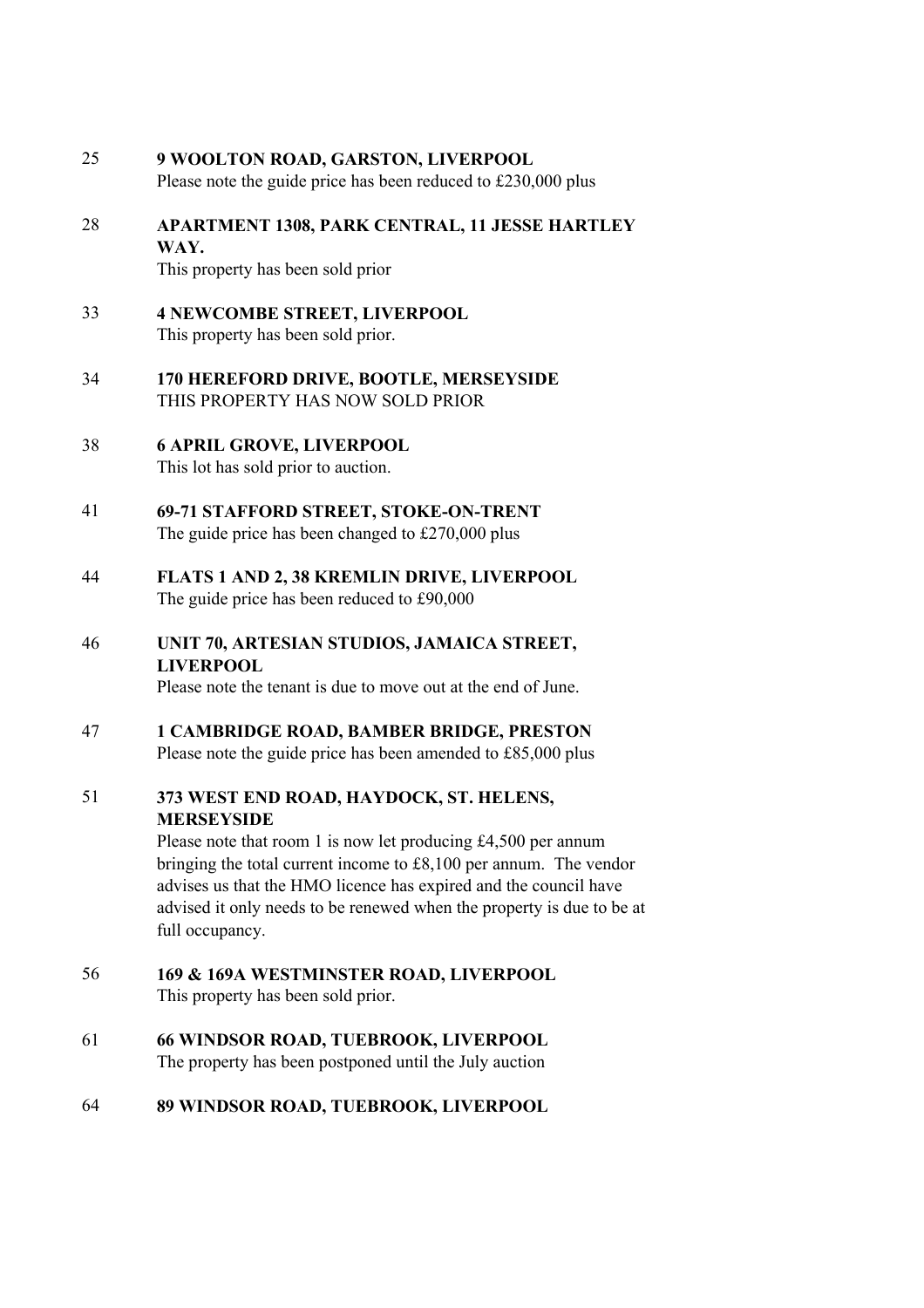| 25 | 9 WOOLTON ROAD, GARSTON, LIVERPOOL<br>Please note the guide price has been reduced to £230,000 plus                                                                                                                                                                                                                                                 |
|----|-----------------------------------------------------------------------------------------------------------------------------------------------------------------------------------------------------------------------------------------------------------------------------------------------------------------------------------------------------|
| 28 | <b>APARTMENT 1308, PARK CENTRAL, 11 JESSE HARTLEY</b><br>WAY.<br>This property has been sold prior                                                                                                                                                                                                                                                  |
| 33 | <b>4 NEWCOMBE STREET, LIVERPOOL</b><br>This property has been sold prior.                                                                                                                                                                                                                                                                           |
| 34 | 170 HEREFORD DRIVE, BOOTLE, MERSEYSIDE<br>THIS PROPERTY HAS NOW SOLD PRIOR                                                                                                                                                                                                                                                                          |
| 38 | <b>6 APRIL GROVE, LIVERPOOL</b><br>This lot has sold prior to auction.                                                                                                                                                                                                                                                                              |
| 41 | 69-71 STAFFORD STREET, STOKE-ON-TRENT<br>The guide price has been changed to $£270,000$ plus                                                                                                                                                                                                                                                        |
| 44 | FLATS 1 AND 2, 38 KREMLIN DRIVE, LIVERPOOL<br>The guide price has been reduced to £90,000                                                                                                                                                                                                                                                           |
| 46 | UNIT 70, ARTESIAN STUDIOS, JAMAICA STREET,<br><b>LIVERPOOL</b><br>Please note the tenant is due to move out at the end of June.                                                                                                                                                                                                                     |
| 47 | <b>1 CAMBRIDGE ROAD, BAMBER BRIDGE, PRESTON</b><br>Please note the guide price has been amended to £85,000 plus                                                                                                                                                                                                                                     |
| 51 | 373 WEST END ROAD, HAYDOCK, ST. HELENS,<br><b>MERSEYSIDE</b><br>Please note that room 1 is now let producing $£4,500$ per annum<br>bringing the total current income to $£8,100$ per annum. The vendor<br>advises us that the HMO licence has expired and the council have<br>advised it only needs to be renewed when the property is due to be at |
| 56 | full occupancy.<br>169 & 169A WESTMINSTER ROAD, LIVERPOOL                                                                                                                                                                                                                                                                                           |
| 61 | This property has been sold prior.<br><b>66 WINDSOR ROAD, TUEBROOK, LIVERPOOL</b>                                                                                                                                                                                                                                                                   |
|    | The property has been postponed until the July auction                                                                                                                                                                                                                                                                                              |

64 **89 WINDSOR ROAD, TUEBROOK, LIVERPOOL**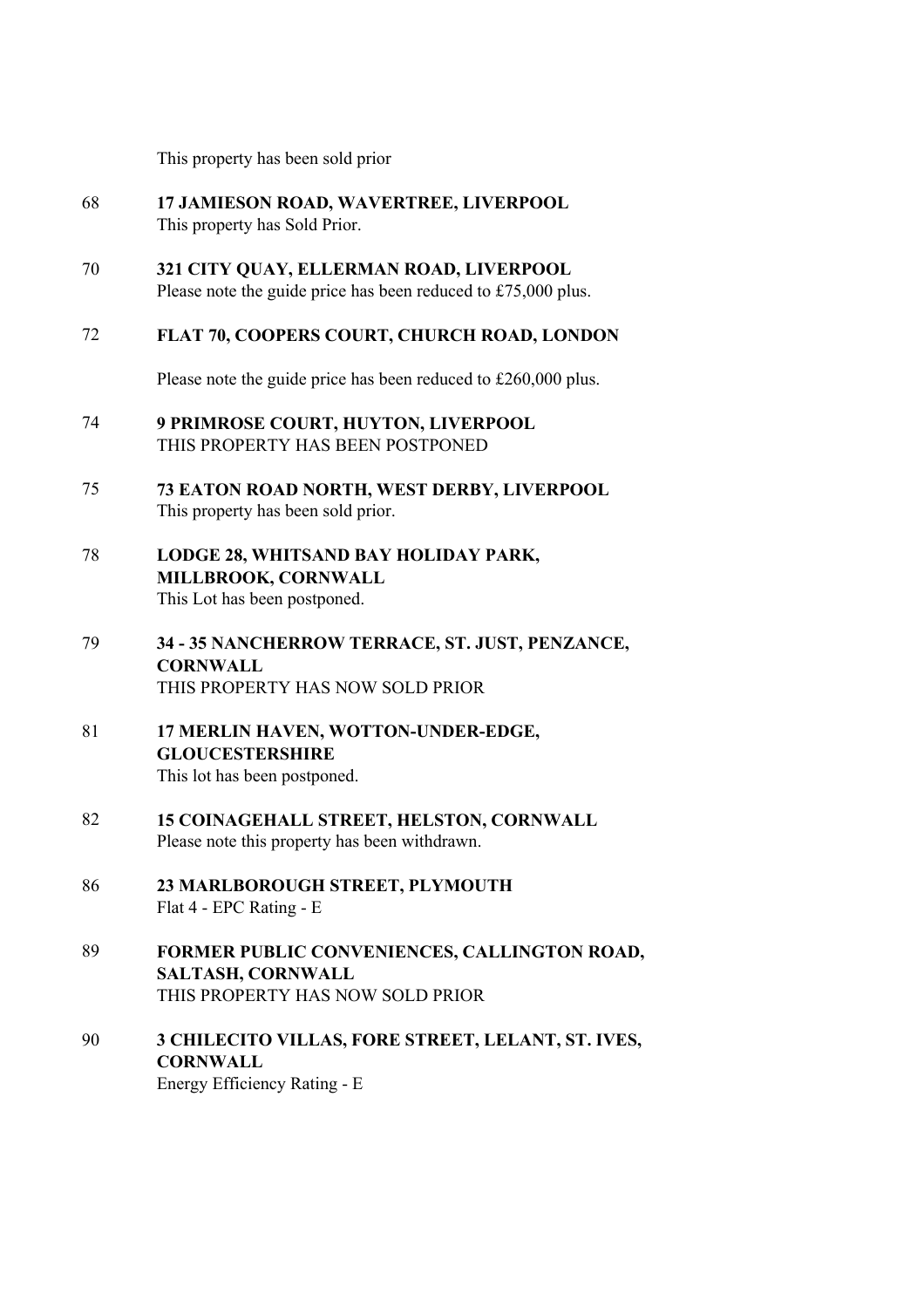This property has been sold prior

- 68 **17 JAMIESON ROAD, WAVERTREE, LIVERPOOL** This property has Sold Prior.
- 70 **321 CITY QUAY, ELLERMAN ROAD, LIVERPOOL** Please note the guide price has been reduced to £75,000 plus.

## 72 **FLAT 70, COOPERS COURT, CHURCH ROAD, LONDON**

Please note the guide price has been reduced to £260,000 plus.

- 74 **9 PRIMROSE COURT, HUYTON, LIVERPOOL** THIS PROPERTY HAS BEEN POSTPONED
- 75 **73 EATON ROAD NORTH, WEST DERBY, LIVERPOOL** This property has been sold prior.
- 78 **LODGE 28, WHITSAND BAY HOLIDAY PARK, MILLBROOK, CORNWALL** This Lot has been postponed.
- 79 **34 35 NANCHERROW TERRACE, ST. JUST, PENZANCE, CORNWALL** THIS PROPERTY HAS NOW SOLD PRIOR
- 81 **17 MERLIN HAVEN, WOTTON-UNDER-EDGE, GLOUCESTERSHIRE** This lot has been postponed.
- 82 **15 COINAGEHALL STREET, HELSTON, CORNWALL** Please note this property has been withdrawn.
- 86 **23 MARLBOROUGH STREET, PLYMOUTH** Flat 4 - EPC Rating - E
- 89 **FORMER PUBLIC CONVENIENCES, CALLINGTON ROAD, SALTASH, CORNWALL** THIS PROPERTY HAS NOW SOLD PRIOR
- 90 **3 CHILECITO VILLAS, FORE STREET, LELANT, ST. IVES, CORNWALL** Energy Efficiency Rating - E